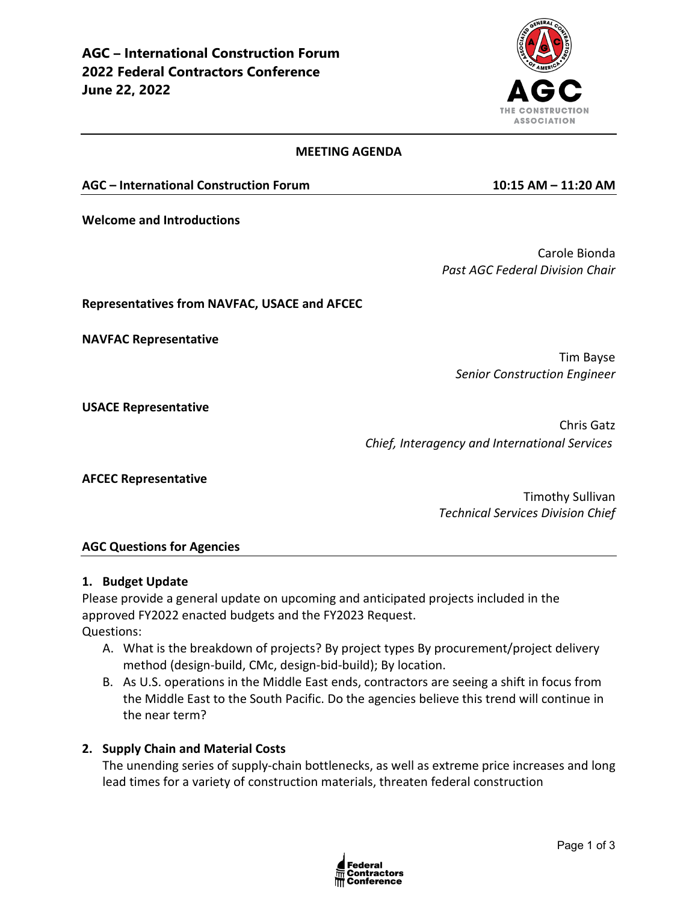

#### **MEETING AGENDA**

**AGC – International Construction Forum 10:15 AM – 11:20 AM**

**Welcome and Introductions**

Carole Bionda *Past AGC Federal Division Chair* 

### **Representatives from NAVFAC, USACE and AFCEC**

**NAVFAC Representative**

Tim Bayse *Senior Construction Engineer*

**USACE Representative**

Chris Gatz *Chief, Interagency and International Services*

**AFCEC Representative**

Timothy Sullivan *Technical Services Division Chief*

#### **AGC Questions for Agencies**

#### **1. Budget Update**

Please provide a general update on upcoming and anticipated projects included in the approved FY2022 enacted budgets and the FY2023 Request. Questions:

- A. What is the breakdown of projects? By project types By procurement/project delivery method (design-build, CMc, design-bid-build); By location.
- B. As U.S. operations in the Middle East ends, contractors are seeing a shift in focus from the Middle East to the South Pacific. Do the agencies believe this trend will continue in the near term?

### **2. Supply Chain and Material Costs**

The unending series of supply-chain bottlenecks, as well as extreme price increases and long lead times for a variety of construction materials, threaten federal construction

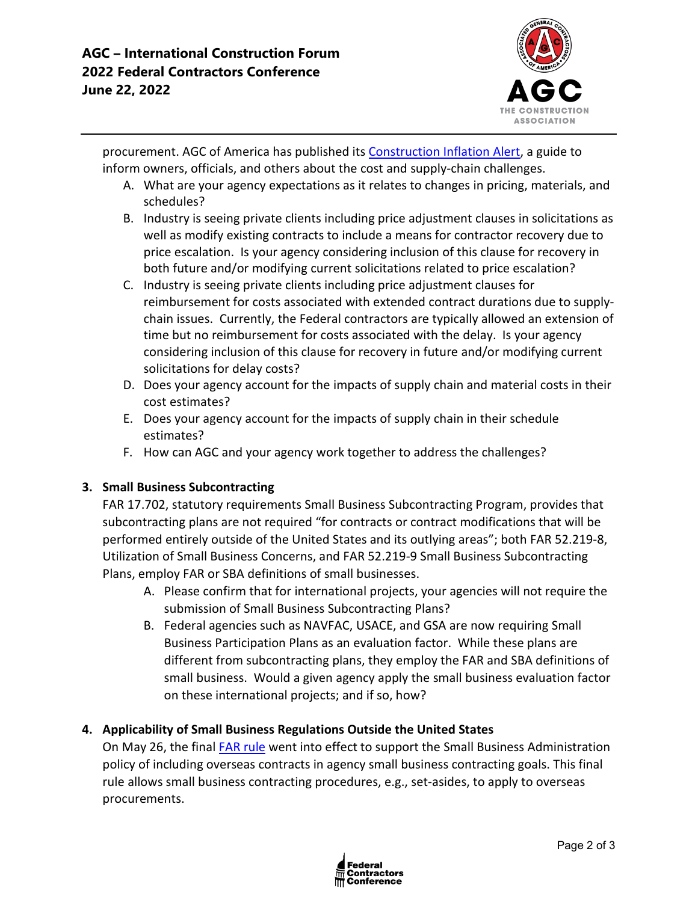

procurement. AGC of America has published its [Construction Inflation Alert,](https://www.agc.org/learn/construction-data/agc-construction-inflation-alert) a guide to inform owners, officials, and others about the cost and supply-chain challenges.

- A. What are your agency expectations as it relates to changes in pricing, materials, and schedules?
- B. Industry is seeing private clients including price adjustment clauses in solicitations as well as modify existing contracts to include a means for contractor recovery due to price escalation. Is your agency considering inclusion of this clause for recovery in both future and/or modifying current solicitations related to price escalation?
- C. Industry is seeing private clients including price adjustment clauses for reimbursement for costs associated with extended contract durations due to supplychain issues. Currently, the Federal contractors are typically allowed an extension of time but no reimbursement for costs associated with the delay. Is your agency considering inclusion of this clause for recovery in future and/or modifying current solicitations for delay costs?
- D. Does your agency account for the impacts of supply chain and material costs in their cost estimates?
- E. Does your agency account for the impacts of supply chain in their schedule estimates?
- F. How can AGC and your agency work together to address the challenges?

# **3. Small Business Subcontracting**

FAR 17.702, statutory requirements Small Business Subcontracting Program, provides that subcontracting plans are not required "for contracts or contract modifications that will be performed entirely outside of the United States and its outlying areas"; both FAR 52.219-8, Utilization of Small Business Concerns, and FAR 52.219-9 Small Business Subcontracting Plans, employ FAR or SBA definitions of small businesses.

- A. Please confirm that for international projects, your agencies will not require the submission of Small Business Subcontracting Plans?
- B. Federal agencies such as NAVFAC, USACE, and GSA are now requiring Small Business Participation Plans as an evaluation factor. While these plans are different from subcontracting plans, they employ the FAR and SBA definitions of small business. Would a given agency apply the small business evaluation factor on these international projects; and if so, how?

# **4. Applicability of Small Business Regulations Outside the United States**

On May 26, the final [FAR rule](https://www.federalregister.gov/documents/2022/04/26/2022-08577/federal-acquisition-regulation-applicability-of-small-business-regulations-outside-the-united-states) went into effect to support the Small Business Administration policy of including overseas contracts in agency small business contracting goals. This final rule allows small business contracting procedures, e.g., set-asides, to apply to overseas procurements.